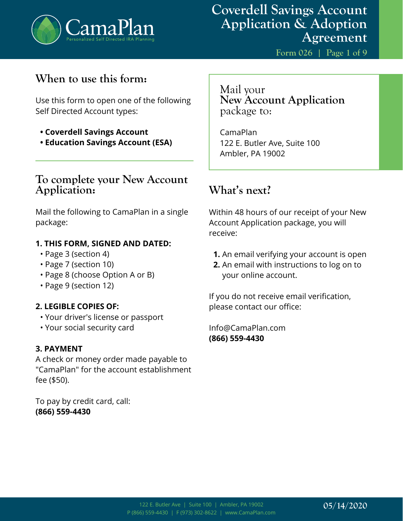

**Form 026 | Page 1 of 9**

### **When to use this form:**

Use this form to open one of the following Self Directed Account types:

- **Coverdell Savings Account**
- **Education Savings Account (ESA)**

### **To complete your New Account Application:**

Mail the following to CamaPlan in a single package:

#### **1. THIS FORM, SIGNED AND DATED:**

- Page 3 (section 4)
- Page 7 (section 10)
- Page 8 (choose Option A or B)
- Page 9 (section 12)

#### **2. LEGIBLE COPIES OF:**

- Your driver's license or passport
- Your social security card

#### **3. PAYMENT**

A check or money order made payable to "CamaPlan" for the account establishment fee (\$50).

To pay by credit card, call: **(866) 559-4430**

Mail your **New Account Application**  package to:

CamaPlan 122 E. Butler Ave, Suite 100 Ambler, PA 19002

### **What's next?**

Within 48 hours of our receipt of your New Account Application package, you will receive:

- **1.** An email verifying your account is open
- **2.** An email with instructions to log on to your online account.

If you do not receive email verification, please contact our office:

Info@CamaPlan.com **(866) 559-4430**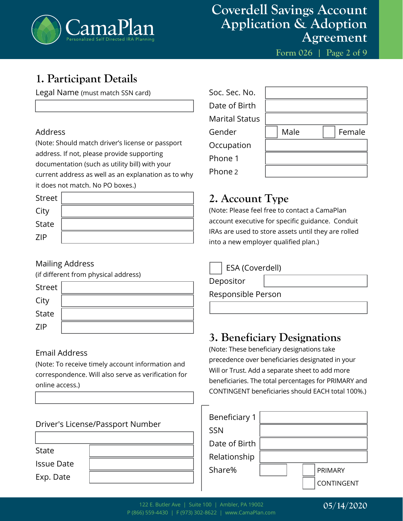

**Form 026 | Page 2 of 9**

# **1. Participant Details**

Legal Name (must match SSN card)

#### Address

(Note: Should match driver's license or passport address. If not, please provide supporting documentation (such as utility bill) with your current address as well as an explanation as to why it does not match. No PO boxes.)

| Street       |  |
|--------------|--|
| City         |  |
| <b>State</b> |  |
| <b>ZIP</b>   |  |

#### Mailing Address

(if different from physical address)

| Street       |  |
|--------------|--|
| City         |  |
| <b>State</b> |  |
| <b>ZIP</b>   |  |

#### Email Address

(Note: To receive timely account information and correspondence. Will also serve as verification for online access.)

| Driver's License/Passport Number |  |  |
|----------------------------------|--|--|
|                                  |  |  |
| State                            |  |  |
| <b>Issue Date</b>                |  |  |
| Exp. Date                        |  |  |
|                                  |  |  |

| Soc. Sec. No.         |      |        |
|-----------------------|------|--------|
| Date of Birth         |      |        |
| <b>Marital Status</b> |      |        |
| Gender                | Male | Female |
| Occupation            |      |        |
| Phone 1               |      |        |
| Phone 2               |      |        |

# **2. Account Type**

(Note: Please feel free to contact a CamaPlan account executive for specific guidance. Conduit IRAs are used to store assets until they are rolled into a new employer qualified plan.)

Depositor

Responsible Person

### **3. Beneficiary Designations**

(Note: These beneficiary designations take precedence over beneficiaries designated in your Will or Trust. Add a separate sheet to add more beneficiaries. The total percentages for PRIMARY and CONTINGENT beneficiaries should EACH total 100%.)

| Beneficiary 1 |  |            |
|---------------|--|------------|
| <b>SSN</b>    |  |            |
| Date of Birth |  |            |
| Relationship  |  |            |
| Share%        |  | PRIMARY    |
|               |  | CONTINGENT |

#### **05/14/2020**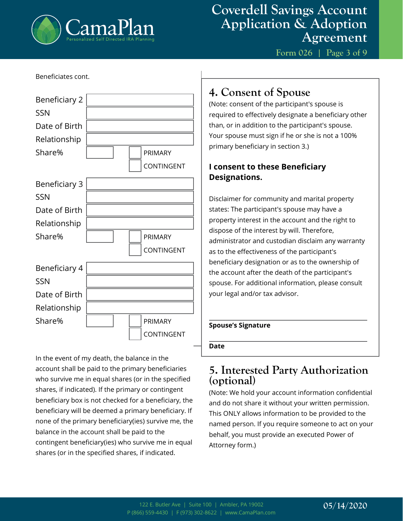

Beneficiates cont.

### **Coverdell Savings Account Application & Adoption Agreement**

**Form 026 | Page 3 of 9**

| DETIENCIALES CONIL.  |  |                |
|----------------------|--|----------------|
| Beneficiary 2        |  |                |
| <b>SSN</b>           |  |                |
| Date of Birth        |  |                |
| Relationship         |  |                |
| Share%               |  | <b>PRIMARY</b> |
|                      |  | CONTINGENT     |
| <b>Beneficiary 3</b> |  |                |
| <b>SSN</b>           |  |                |
| Date of Birth        |  |                |
| Relationship         |  |                |
| Share%               |  | PRIMARY        |
|                      |  | CONTINGENT     |
| Beneficiary 4        |  |                |
| <b>SSN</b>           |  |                |
| Date of Birth        |  |                |
| Relationship         |  |                |
| Share%               |  | <b>PRIMARY</b> |
|                      |  | CONTINGENT     |

In the event of my death, the balance in the account shall be paid to the primary beneficiaries who survive me in equal shares (or in the specified shares, if indicated). If the primary or contingent beneficiary box is not checked for a beneficiary, the beneficiary will be deemed a primary beneficiary. If none of the primary beneficiary(ies) survive me, the balance in the account shall be paid to the contingent beneficiary(ies) who survive me in equal shares (or in the specified shares, if indicated.

# **4. Consent of Spouse**

(Note: consent of the participant's spouse is required to effectively designate a beneficiary other than, or in addition to the participant's spouse. Your spouse must sign if he or she is not a 100% primary beneficiary in section 3.)

### **I consent to these Beneficiary Designations.**

Disclaimer for community and marital property states: The participant's spouse may have a property interest in the account and the right to dispose of the interest by will. Therefore, administrator and custodian disclaim any warranty as to the effectiveness of the participant's beneficiary designation or as to the ownership of the account after the death of the participant's spouse. For additional information, please consult your legal and/or tax advisor.

#### **Spouse's Signature**

**Date**

### **5. Interested Party Authorization (optional)**

(Note: We hold your account information confidential and do not share it without your written permission. This ONLY allows information to be provided to the named person. If you require someone to act on your behalf, you must provide an executed Power of Attorney form.)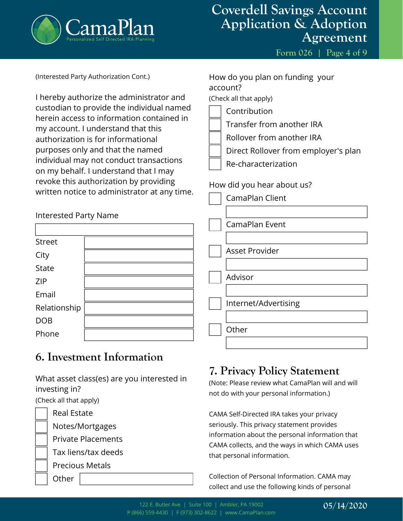

**Form 026 | Page 4 of 9**

| (Interested Party Authorization Cont.) |
|----------------------------------------|
|----------------------------------------|

I hereby authorize the administrator and custodian to provide the individual named herein access to information contained in my account. I understand that this authorization is for informational purposes only and that the named individual may not conduct transactions on my behalf. I understand that I may revoke this authorization by providing written notice to administrator at any time.

Interested Party Name

| <b>Street</b> |  |
|---------------|--|
| City          |  |
| <b>State</b>  |  |
| <b>ZIP</b>    |  |
| Email         |  |
| Relationship  |  |
| <b>DOB</b>    |  |
| Phone         |  |

# **6. Investment Information**

What asset class(es) are you interested in investing in?

(Check all that apply)

**Other** 

Real Estate

Notes/Mortgages Private Placements

Tax liens/tax deeds

Precious Metals

How do you plan on funding your account?

(Check all that apply)

- Contribution
- Transfer from another IRA
- Rollover from another IRA
- Direct Rollover from employer's plan
- Re-characterization

### How did you hear about us?

| CamaPlan Client       |
|-----------------------|
|                       |
| CamaPlan Event        |
|                       |
| <b>Asset Provider</b> |
|                       |
| Advisor               |
|                       |
| Internet/Advertising  |
|                       |
| Other                 |
|                       |

# **7. Privacy Policy Statement**

(Note: Please review what CamaPlan will and will not do with your personal information.)

CAMA Self-Directed IRA takes your privacy seriously. This privacy statement provides information about the personal information that CAMA collects, and the ways in which CAMA uses that personal information.

Collection of Personal Information. CAMA may collect and use the following kinds of personal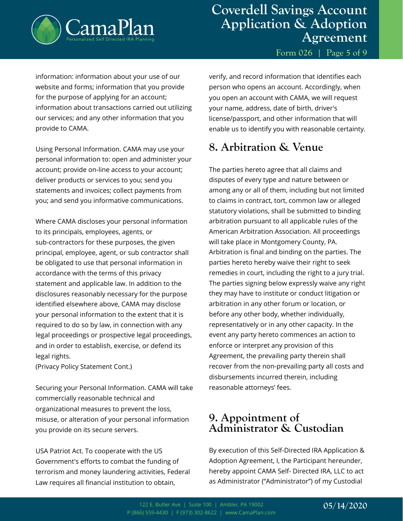

**Form 026 | Page 5 of 9**

information: information about your use of our website and forms; information that you provide for the purpose of applying for an account; information about transactions carried out utilizing our services; and any other information that you provide to CAMA.

Using Personal Information. CAMA may use your personal information to: open and administer your account; provide on-line access to your account; deliver products or services to you; send you statements and invoices; collect payments from you; and send you informative communications.

Where CAMA discloses your personal information to its principals, employees, agents, or sub-contractors for these purposes, the given principal, employee, agent, or sub contractor shall be obligated to use that personal information in accordance with the terms of this privacy statement and applicable law. In addition to the disclosures reasonably necessary for the purpose identified elsewhere above, CAMA may disclose your personal information to the extent that it is required to do so by law, in connection with any legal proceedings or prospective legal proceedings, and in order to establish, exercise, or defend its legal rights.

(Privacy Policy Statement Cont.)

Securing your Personal Information. CAMA will take commercially reasonable technical and organizational measures to prevent the loss, misuse, or alteration of your personal information you provide on its secure servers.

USA Patriot Act. To cooperate with the US Government's efforts to combat the funding of terrorism and money laundering activities, Federal Law requires all financial institution to obtain,

verify, and record information that identifies each person who opens an account. Accordingly, when you open an account with CAMA, we will request your name, address, date of birth, driver's license/passport, and other information that will enable us to identify you with reasonable certainty.

# **8. Arbitration & Venue**

The parties hereto agree that all claims and disputes of every type and nature between or among any or all of them, including but not limited to claims in contract, tort, common law or alleged statutory violations, shall be submitted to binding arbitration pursuant to all applicable rules of the American Arbitration Association. All proceedings will take place in Montgomery County, PA. Arbitration is final and binding on the parties. The parties hereto hereby waive their right to seek remedies in court, including the right to a jury trial. The parties signing below expressly waive any right they may have to institute or conduct litigation or arbitration in any other forum or location, or before any other body, whether individually, representatively or in any other capacity. In the event any party hereto commences an action to enforce or interpret any provision of this Agreement, the prevailing party therein shall recover from the non-prevailing party all costs and disbursements incurred therein, including reasonable attorneys' fees.

### **9. Appointment of Administrator & Custodian**

By execution of this Self-Directed IRA Application & Adoption Agreement, I, the Participant hereunder, hereby appoint CAMA Self- Directed IRA, LLC to act as Administrator ("Administrator") of my Custodial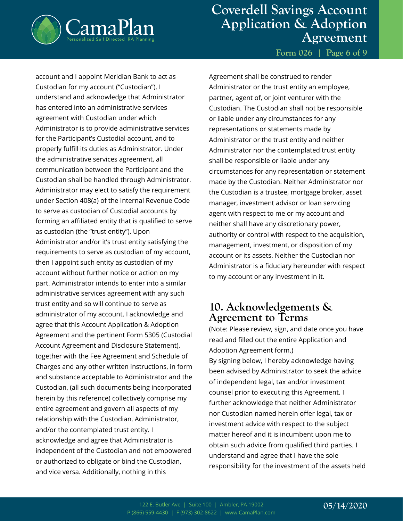

**Form 026 | Page 6 of 9**

account and I appoint Meridian Bank to act as Custodian for my account ("Custodian"). I understand and acknowledge that Administrator has entered into an administrative services agreement with Custodian under which Administrator is to provide administrative services for the Participant's Custodial account, and to properly fulfill its duties as Administrator. Under the administrative services agreement, all communication between the Participant and the Custodian shall be handled through Administrator. Administrator may elect to satisfy the requirement under Section 408(a) of the Internal Revenue Code to serve as custodian of Custodial accounts by forming an affiliated entity that is qualified to serve as custodian (the "trust entity"). Upon Administrator and/or it's trust entity satisfying the requirements to serve as custodian of my account, then I appoint such entity as custodian of my account without further notice or action on my part. Administrator intends to enter into a similar administrative services agreement with any such trust entity and so will continue to serve as administrator of my account. I acknowledge and agree that this Account Application & Adoption Agreement and the pertinent Form 5305 (Custodial Account Agreement and Disclosure Statement), together with the Fee Agreement and Schedule of Charges and any other written instructions, in form and substance acceptable to Administrator and the Custodian, (all such documents being incorporated herein by this reference) collectively comprise my entire agreement and govern all aspects of my relationship with the Custodian, Administrator, and/or the contemplated trust entity. I acknowledge and agree that Administrator is independent of the Custodian and not empowered or authorized to obligate or bind the Custodian, and vice versa. Additionally, nothing in this

Agreement shall be construed to render Administrator or the trust entity an employee, partner, agent of, or joint venturer with the Custodian. The Custodian shall not be responsible or liable under any circumstances for any representations or statements made by Administrator or the trust entity and neither Administrator nor the contemplated trust entity shall be responsible or liable under any circumstances for any representation or statement made by the Custodian. Neither Administrator nor the Custodian is a trustee, mortgage broker, asset manager, investment advisor or loan servicing agent with respect to me or my account and neither shall have any discretionary power, authority or control with respect to the acquisition, management, investment, or disposition of my account or its assets. Neither the Custodian nor Administrator is a fiduciary hereunder with respect to my account or any investment in it.

### **10. Acknowledgements & Agreement to Terms**

(Note: Please review, sign, and date once you have read and filled out the entire Application and Adoption Agreement form.) By signing below, I hereby acknowledge having been advised by Administrator to seek the advice of independent legal, tax and/or investment counsel prior to executing this Agreement. I further acknowledge that neither Administrator nor Custodian named herein offer legal, tax or investment advice with respect to the subject matter hereof and it is incumbent upon me to obtain such advice from qualified third parties. I understand and agree that I have the sole responsibility for the investment of the assets held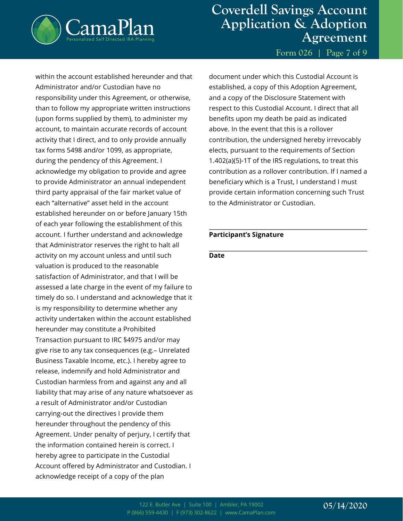

**Form 026 | Page 7 of 9**

within the account established hereunder and that Administrator and/or Custodian have no responsibility under this Agreement, or otherwise, than to follow my appropriate written instructions (upon forms supplied by them), to administer my account, to maintain accurate records of account activity that I direct, and to only provide annually tax forms 5498 and/or 1099, as appropriate, during the pendency of this Agreement. I acknowledge my obligation to provide and agree to provide Administrator an annual independent third party appraisal of the fair market value of each "alternative" asset held in the account established hereunder on or before January 15th of each year following the establishment of this account. I further understand and acknowledge that Administrator reserves the right to halt all activity on my account unless and until such valuation is produced to the reasonable satisfaction of Administrator, and that I will be assessed a late charge in the event of my failure to timely do so. I understand and acknowledge that it is my responsibility to determine whether any activity undertaken within the account established hereunder may constitute a Prohibited Transaction pursuant to IRC §4975 and/or may give rise to any tax consequences (e.g.– Unrelated Business Taxable Income, etc.). I hereby agree to release, indemnify and hold Administrator and Custodian harmless from and against any and all liability that may arise of any nature whatsoever as a result of Administrator and/or Custodian carrying-out the directives I provide them hereunder throughout the pendency of this Agreement. Under penalty of perjury, I certify that the information contained herein is correct. I hereby agree to participate in the Custodial Account offered by Administrator and Custodian. I acknowledge receipt of a copy of the plan

document under which this Custodial Account is established, a copy of this Adoption Agreement, and a copy of the Disclosure Statement with respect to this Custodial Account. I direct that all benefits upon my death be paid as indicated above. In the event that this is a rollover contribution, the undersigned hereby irrevocably elects, pursuant to the requirements of Section 1.402(a)(5)-1T of the IRS regulations, to treat this contribution as a rollover contribution. If I named a beneficiary which is a Trust, I understand I must provide certain information concerning such Trust to the Administrator or Custodian.

#### **Participant's Signature**

#### **Date**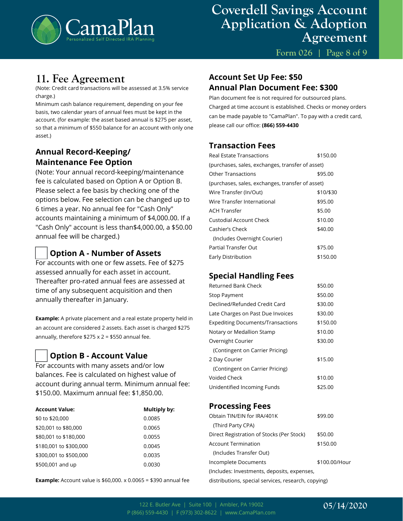

**Form 026 | Page 8 of 9**

### **11. Fee Agreement**

(Note: Credit card transactions will be assessed at 3.5% service charge.)

Minimum cash balance requirement, depending on your fee basis, two calendar years of annual fees must be kept in the account. (for example: the asset based annual is \$275 per asset, so that a minimum of \$550 balance for an account with only one asset.)

### **Annual Record-Keeping/ Maintenance Fee Option**

(Note: Your annual record-keeping/maintenance fee is calculated based on Option A or Option B. Please select a fee basis by checking one of the options below. Fee selection can be changed up to 6 times a year. No annual fee for "Cash Only" accounts maintaining a minimum of \$4,000.00. If a "Cash Only" account is less than\$4,000.00, a \$50.00 annual fee will be charged.)

#### **Option A - Number of Assets**

For accounts with one or few assets. Fee of \$275 assessed annually for each asset in account. Thereafter pro-rated annual fees are assessed at time of any subsequent acquisition and then annually thereafter in January.

**Example:** A private placement and a real estate property held in an account are considered 2 assets. Each asset is charged \$275 annually, therefore  $$275 \times 2 = $550$  annual fee.

#### **Option B - Account Value**

For accounts with many assets and/or low balances. Fee is calculated on highest value of account during annual term. Minimum annual fee: \$150.00. Maximum annual fee: \$1,850.00.

| <b>Account Value:</b>  | Multiply by: |
|------------------------|--------------|
| \$0 to \$20,000        | 0.0085       |
| \$20,001 to \$80,000   | 0.0065       |
| \$80,001 to \$180,000  | 0.0055       |
| \$180,001 to \$300,000 | 0.0045       |
| \$300,001 to \$500,000 | 0.0035       |
| \$500,001 and up       | 0.0030       |

**Example:** Account value is \$60,000. x 0.0065 = \$390 annual fee

#### **Account Set Up Fee: \$50 Annual Plan Document Fee: \$300**

Plan document fee is not required for outsourced plans. Charged at time account is established. Checks or money orders can be made payable to "CamaPlan". To pay with a credit card, please call our office: **(866) 559-4430**

#### **Transaction Fees**

| \$150.00                                         |  |  |
|--------------------------------------------------|--|--|
| (purchases, sales, exchanges, transfer of asset) |  |  |
| \$95.00                                          |  |  |
| (purchases, sales, exchanges, transfer of asset) |  |  |
| \$10/\$30                                        |  |  |
| \$95.00                                          |  |  |
| \$5.00                                           |  |  |
| \$10.00                                          |  |  |
| \$40.00                                          |  |  |
|                                                  |  |  |
| \$75.00                                          |  |  |
| \$150.00                                         |  |  |
|                                                  |  |  |

#### **Special Handling Fees**

| \$50.00  |
|----------|
| \$50.00  |
| \$30.00  |
| \$30.00  |
| \$150.00 |
| \$10.00  |
| \$30.00  |
|          |
| \$15.00  |
|          |
| \$10.00  |
| \$25.00  |
|          |

#### **Processing Fees**

| Obtain TIN/EIN for IRA/401K                      | \$99.00       |
|--------------------------------------------------|---------------|
| (Third Party CPA)                                |               |
| Direct Registration of Stocks (Per Stock)        | \$50.00       |
| Account Termination                              | \$150.00      |
| (Includes Transfer Out)                          |               |
| Incomplete Documents                             | \$100.00/Hour |
| (Includes: Investments, deposits, expenses,      |               |
| dictributions special sensices research conving) |               |

distributions, special services, research, copying)